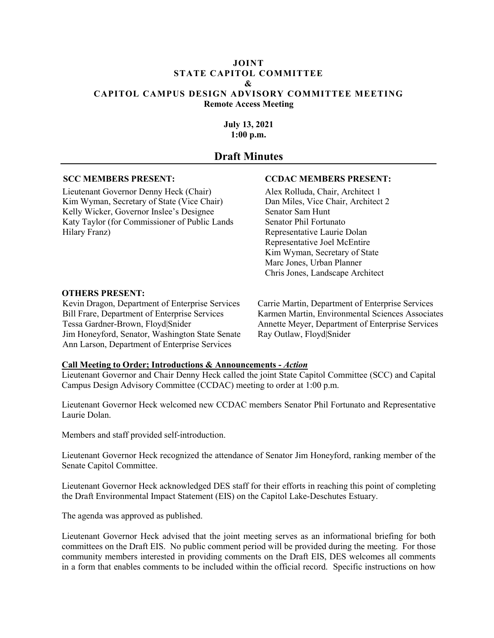#### **JOINT STATE CAPITOL COMMITTEE & CAPITOL CAMPUS DESIGN ADVISORY COMMITTEE MEETING Remote Access Meeting**

**July 13, 2021 1:00 p.m.** 

**NOTE**: These Draft Meeting  $\overline{\text{Minutes are sub}}$  to change upon approval  $\triangle$  SCC and  $CCDAC$   $\vec{c}$  ir next regularly sched<sup>t</sup> tings.

**Draft Minutes**

## **SCC MEMBERS PRESENT: CCDAC MEM. ERS PRES.**

Lieutenant Governor Denny Heck (Chair) Alex Roll Chair, Architect 1 Kim Wyman, Secretary of State (Vice Chair) Dan M<sup>i</sup> Nice Chair, Architect 2 Kelly Wicker, Governor Inslee's Designee<br>
Katy Taylor (for Commissioner of Public Lands<br>
Sam Phil Fortu Katy Taylor (for Commissioner of Public Lands Hilary Franz) Representative Laurie Dolan

 $Re_{\rm k}$  ntative Jel McEntire  $Kim \sim$  Secretary of State Marc Jones, Vrban Planner Chris Jones, dscape Architect Buty 13, 2021<br>
11:00 p.m.<br>
11:00 p.m.<br>
11:00 p.m.<br>
11:00 p.m.<br>
11:00 p.m.<br>
11:00 p.m.<br>
11:00 p.m.<br>
11:00 p.m.<br>
11:00 p.m.<br>
11:00 p.m.<br>
11:00 p.m.<br>
11:00 p.m.<br>
11:00 p.m.<br>
11:00 p.m.<br>
11:00 p.m.<br>
11:00 p.m.<br>
11:00 p.m.<br>
11

### **OTHERS PRESENT:**

Kevin Dragon, Department of Enterprise Services Carrie Martin, Department of Enterprise Services Bill Frare, Department of Enterprise Services K  $K$  den Martin, Environmental Sciences Associates Tessa Gardner-Brown, Floyd|Snider Annette Meyer, Department of Enterprise Services Jim Honeyford, Senator,  $V_{\text{max}}$  \* ate Senate Ray Outlaw, Floyd|Snider Ann Larson, Department Enterprise ervices

| Call Meeting to C   |                                    | <b>Example 1: Introduct 3 &amp; Announce.</b> Ats - Action |                                                         |                                                                   |
|---------------------|------------------------------------|------------------------------------------------------------|---------------------------------------------------------|-------------------------------------------------------------------|
| Lieutenant Governe  | $\triangle$ d Chair $\overline{V}$ |                                                            |                                                         | <sup>+ th</sup> e joint State Capitol Committee (SCC) and Capital |
| Campus Design Advis | $\zeta$ or                         |                                                            | $\triangle$ (CCDA $\cup$ )  eting to order at 1:00 p.m. |                                                                   |

Lieuter and Heck were directed were CCDAC members Senator Phil Fortunato and Representative Lav<sub>olan.</sub>

 $\mathcal{L}$ mbers and staff providents in self-introduction.

L. nant Governor Heck recognized the attendance of Senator Jim Honeyford, ranking member of the Sena **Propisol** Committee

Lieutenant Governor Lieutenant Governor Lieutenant Completing contacts acknowledged DES staff for their efforts in reaching this point of completing the Draft Environmental Impact Statement (EIS) on the Capitol Lake-Deschutes Estuary.

The agenda was approved as published.

Lieutenant Governor Heck advised that the joint meeting serves as an informational briefing for both committees on the Draft EIS. No public comment period will be provided during the meeting. For those community members interested in providing comments on the Draft EIS, DES welcomes all comments in a form that enables comments to be included within the official record. Specific instructions on how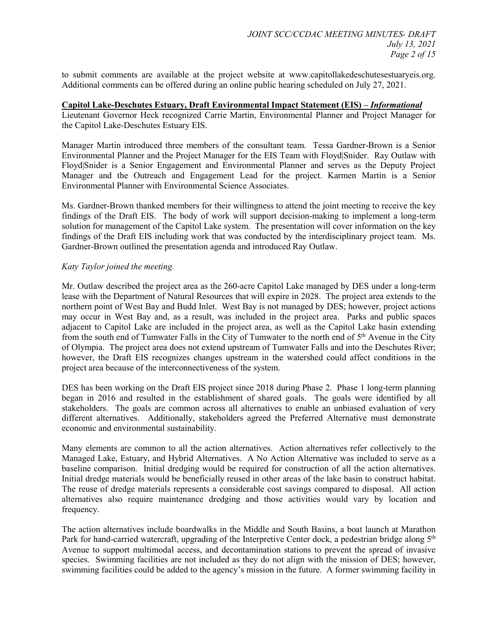to submit comments are available at the project website at www.capitollakedeschutesestuaryeis.org. Additional comments can be offered during an online public hearing scheduled on July 27, 2021.

#### **Capitol Lake-Deschutes Estuary, Draft Environmental Impact Statement (EIS) –** *Informational*

Lieutenant Governor Heck recognized Carrie Martin, Environmental Planner and Project Manager for the Capitol Lake-Deschutes Estuary EIS.

Manager Martin introduced three members of the consultant team. Tessa Gardner-Brown is a Senior Environmental Planner and the Project Manager for the EIS Team with Floyd|Snider. Ray Outlaw with Floyd|Snider is a Senior Engagement and Environmental Planner and serves as the Deputy Project Manager and the Outreach and Engagement Lead for the project. Karmen Martin is a Senior Environmental Planner with Environmental Science Associates.

Ms. Gardner-Brown thanked members for their willingness to attend the joint meeting to receive the key findings of the Draft EIS. The body of work will support decision-making to implement a long-term solution for management of the Capitol Lake system. The presentation will cover information on the key findings of the Draft EIS including work that was conducted by the interdisciplinary project team. Ms. Gardner-Brown outlined the presentation agenda and introduced Ray Outlaw.

### *Katy Taylor joined the meeting.*

Mr. Outlaw described the project area as the 260-acre Capitol Lake managed by DES under a long-term lease with the Department of Natural Resources that will expire in 2028. The project area extends to the northern point of West Bay and Budd Inlet. West Bay is not managed by DES; however, project actions may occur in West Bay and, as a result, was included in the project area. Parks and public spaces adjacent to Capitol Lake are included in the project area, as well as the Capitol Lake basin extending from the south end of Tumwater Falls in the City of Tumwater to the north end of 5<sup>th</sup> Avenue in the City of Olympia. The project area does not extend upstream of Tumwater Falls and into the Deschutes River; however, the Draft EIS recognizes changes upstream in the watershed could affect conditions in the project area because of the interconnectiveness of the system. the Capitol Lake-Doschutes Tstuary ITS.<br>
Manager Mattin introduced three members of the consultant team. Tessa Gardner-Brown is a Senior<br>
Manager Mattin introduced three members of the consultant team. Tessa Gardner-Brown

DES has been working on the Draft EIS project since 2018 during Phase 2. Phase 1 long-term planning began in 2016 and resulted in the establishment of shared goals. The goals were identified by all stakeholders. The goals are common across all alternatives to enable an unbiased evaluation of very different alternatives. Additionally, stakeholders agreed the Preferred Alternative must demonstrate economic and environmental sustainability.

Many elements are common to all the action alternatives. Action alternatives refer collectively to the Managed Lake, Estuary, and Hybrid Alternatives. A No Action Alternative was included to serve as a baseline comparison. Initial dredging would be required for construction of all the action alternatives. Initial dredge materials would be beneficially reused in other areas of the lake basin to construct habitat. The reuse of dredge materials represents a considerable cost savings compared to disposal. All action alternatives also require maintenance dredging and those activities would vary by location and frequency.

The action alternatives include boardwalks in the Middle and South Basins, a boat launch at Marathon Park for hand-carried watercraft, upgrading of the Interpretive Center dock, a pedestrian bridge along 5<sup>th</sup> Avenue to support multimodal access, and decontamination stations to prevent the spread of invasive species. Swimming facilities are not included as they do not align with the mission of DES; however, swimming facilities could be added to the agency's mission in the future. A former swimming facility in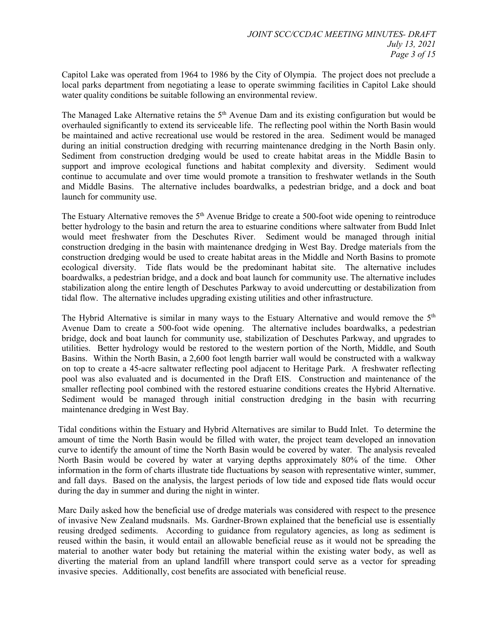Capitol Lake was operated from 1964 to 1986 by the City of Olympia. The project does not preclude a local parks department from negotiating a lease to operate swimming facilities in Capitol Lake should water quality conditions be suitable following an environmental review.

The Managed Lake Alternative retains the  $5<sup>th</sup>$  Avenue Dam and its existing configuration but would be overhauled significantly to extend its serviceable life. The reflecting pool within the North Basin would be maintained and active recreational use would be restored in the area. Sediment would be managed during an initial construction dredging with recurring maintenance dredging in the North Basin only. Sediment from construction dredging would be used to create habitat areas in the Middle Basin to support and improve ecological functions and habitat complexity and diversity. Sediment would continue to accumulate and over time would promote a transition to freshwater wetlands in the South and Middle Basins. The alternative includes boardwalks, a pedestrian bridge, and a dock and boat launch for community use.

The Estuary Alternative removes the 5<sup>th</sup> Avenue Bridge to create a 500-foot wide opening to reintroduce better hydrology to the basin and return the area to estuarine conditions where saltwater from Budd Inlet would meet freshwater from the Deschutes River. Sediment would be managed through initial construction dredging in the basin with maintenance dredging in West Bay. Dredge materials from the construction dredging would be used to create habitat areas in the Middle and North Basins to promote ecological diversity. Tide flats would be the predominant habitat site. The alternative includes boardwalks, a pedestrian bridge, and a dock and boat launch for community use. The alternative includes stabilization along the entire length of Deschutes Parkway to avoid undercutting or destabilization from tidal flow. The alternative includes upgrading existing utilities and other infrastructure.

The Hybrid Alternative is similar in many ways to the Estuary Alternative and would remove the 5<sup>th</sup> Avenue Dam to create a 500-foot wide opening. The alternative includes boardwalks, a pedestrian bridge, dock and boat launch for community use, stabilization of Deschutes Parkway, and upgrades to utilities. Better hydrology would be restored to the western portion of the North, Middle, and South Basins. Within the North Basin, a 2,600 foot length barrier wall would be constructed with a walkway on top to create a 45-acre saltwater reflecting pool adjacent to Heritage Park. A freshwater reflecting pool was also evaluated and is documented in the Draft EIS. Construction and maintenance of the smaller reflecting pool combined with the restored estuarine conditions creates the Hybrid Alternative. Sediment would be managed through initial construction dredging in the basin with recurring maintenance dredging in West Bay. overhanded significantly to exterd its serviceable life. The erflecting pool within the Nigain would be maintimed and serive receivation uses would be restored in the care. Sediment would be managed direction decising wit

Tidal conditions within the Estuary and Hybrid Alternatives are similar to Budd Inlet. To determine the amount of time the North Basin would be filled with water, the project team developed an innovation curve to identify the amount of time the North Basin would be covered by water. The analysis revealed North Basin would be covered by water at varying depths approximately 80% of the time. Other information in the form of charts illustrate tide fluctuations by season with representative winter, summer, and fall days. Based on the analysis, the largest periods of low tide and exposed tide flats would occur during the day in summer and during the night in winter.

Marc Daily asked how the beneficial use of dredge materials was considered with respect to the presence of invasive New Zealand mudsnails. Ms. Gardner-Brown explained that the beneficial use is essentially reusing dredged sediments. According to guidance from regulatory agencies, as long as sediment is reused within the basin, it would entail an allowable beneficial reuse as it would not be spreading the material to another water body but retaining the material within the existing water body, as well as diverting the material from an upland landfill where transport could serve as a vector for spreading invasive species. Additionally, cost benefits are associated with beneficial reuse.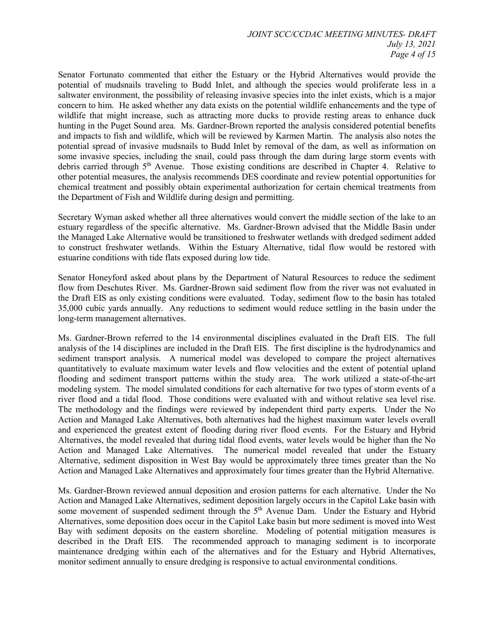Senator Fortunato commented that either the Estuary or the Hybrid Alternatives would provide the potential of mudsnails traveling to Budd Inlet, and although the species would proliferate less in a saltwater environment, the possibility of releasing invasive species into the inlet exists, which is a major concern to him. He asked whether any data exists on the potential wildlife enhancements and the type of wildlife that might increase, such as attracting more ducks to provide resting areas to enhance duck hunting in the Puget Sound area. Ms. Gardner-Brown reported the analysis considered potential benefits and impacts to fish and wildlife, which will be reviewed by Karmen Martin. The analysis also notes the potential spread of invasive mudsnails to Budd Inlet by removal of the dam, as well as information on some invasive species, including the snail, could pass through the dam during large storm events with debris carried through 5<sup>th</sup> Avenue. Those existing conditions are described in Chapter 4. Relative to other potential measures, the analysis recommends DES coordinate and review potential opportunities for chemical treatment and possibly obtain experimental authorization for certain chemical treatments from the Department of Fish and Wildlife during design and permitting.

Secretary Wyman asked whether all three alternatives would convert the middle section of the lake to an estuary regardless of the specific alternative. Ms. Gardner-Brown advised that the Middle Basin under the Managed Lake Alternative would be transitioned to freshwater wetlands with dredged sediment added to construct freshwater wetlands. Within the Estuary Alternative, tidal flow would be restored with estuarine conditions with tide flats exposed during low tide.

Senator Honeyford asked about plans by the Department of Natural Resources to reduce the sediment flow from Deschutes River. Ms. Gardner-Brown said sediment flow from the river was not evaluated in the Draft EIS as only existing conditions were evaluated. Today, sediment flow to the basin has totaled 35,000 cubic yards annually. Any reductions to sediment would reduce settling in the basin under the long-term management alternatives.

Ms. Gardner-Brown referred to the 14 environmental disciplines evaluated in the Draft EIS. The full analysis of the 14 disciplines are included in the Draft EIS. The first discipline is the hydrodynamics and sediment transport analysis. A numerical model was developed to compare the project alternatives quantitatively to evaluate maximum water levels and flow velocities and the extent of potential upland flooding and sediment transport patterns within the study area. The work utilized a state-of-the-art modeling system. The model simulated conditions for each alternative for two types of storm events of a river flood and a tidal flood. Those conditions were evaluated with and without relative sea level rise. The methodology and the findings were reviewed by independent third party experts. Under the No Action and Managed Lake Alternatives, both alternatives had the highest maximum water levels overall and experienced the greatest extent of flooding during river flood events. For the Estuary and Hybrid Alternatives, the model revealed that during tidal flood events, water levels would be higher than the No Action and Managed Lake Alternatives. The numerical model revealed that under the Estuary Alternative, sediment disposition in West Bay would be approximately three times greater than the No Action and Managed Lake Alternatives and approximately four times greater than the Hybrid Alternative. hunling in the Puget Sound area. MA, Gardhur-Bhown reported the analysis cursident planetial bending to the most standard in the constraint of the most standard product in the most standard in the most standard of the sta

Ms. Gardner-Brown reviewed annual deposition and erosion patterns for each alternative. Under the No Action and Managed Lake Alternatives, sediment deposition largely occurs in the Capitol Lake basin with some movement of suspended sediment through the 5<sup>th</sup> Avenue Dam. Under the Estuary and Hybrid Alternatives, some deposition does occur in the Capitol Lake basin but more sediment is moved into West Bay with sediment deposits on the eastern shoreline. Modeling of potential mitigation measures is described in the Draft EIS. The recommended approach to managing sediment is to incorporate maintenance dredging within each of the alternatives and for the Estuary and Hybrid Alternatives, monitor sediment annually to ensure dredging is responsive to actual environmental conditions.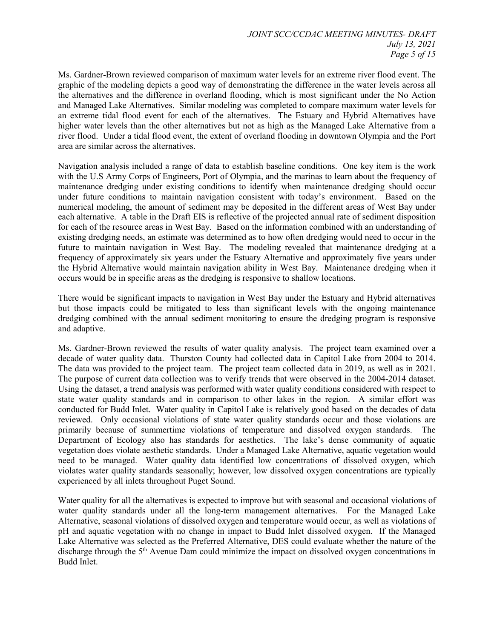Ms. Gardner-Brown reviewed comparison of maximum water levels for an extreme river flood event. The graphic of the modeling depicts a good way of demonstrating the difference in the water levels across all the alternatives and the difference in overland flooding, which is most significant under the No Action and Managed Lake Alternatives. Similar modeling was completed to compare maximum water levels for an extreme tidal flood event for each of the alternatives. The Estuary and Hybrid Alternatives have higher water levels than the other alternatives but not as high as the Managed Lake Alternative from a river flood. Under a tidal flood event, the extent of overland flooding in downtown Olympia and the Port area are similar across the alternatives.

Navigation analysis included a range of data to establish baseline conditions. One key item is the work with the U.S Army Corps of Engineers, Port of Olympia, and the marinas to learn about the frequency of maintenance dredging under existing conditions to identify when maintenance dredging should occur under future conditions to maintain navigation consistent with today's environment. Based on the numerical modeling, the amount of sediment may be deposited in the different areas of West Bay under each alternative. A table in the Draft EIS is reflective of the projected annual rate of sediment disposition for each of the resource areas in West Bay. Based on the information combined with an understanding of existing dredging needs, an estimate was determined as to how often dredging would need to occur in the future to maintain navigation in West Bay. The modeling revealed that maintenance dredging at a frequency of approximately six years under the Estuary Alternative and approximately five years under the Hybrid Alternative would maintain navigation ability in West Bay. Maintenance dredging when it occurs would be in specific areas as the dredging is responsive to shallow locations.

There would be significant impacts to navigation in West Bay under the Estuary and Hybrid alternatives but those impacts could be mitigated to less than significant levels with the ongoing maintenance dredging combined with the annual sediment monitoring to ensure the dredging program is responsive and adaptive.

Ms. Gardner-Brown reviewed the results of water quality analysis. The project team examined over a decade of water quality data. Thurston County had collected data in Capitol Lake from 2004 to 2014. The data was provided to the project team. The project team collected data in 2019, as well as in 2021. The purpose of current data collection was to verify trends that were observed in the 2004-2014 dataset. Using the dataset, a trend analysis was performed with water quality conditions considered with respect to state water quality standards and in comparison to other lakes in the region. A similar effort was conducted for Budd Inlet. Water quality in Capitol Lake is relatively good based on the decades of data reviewed. Only occasional violations of state water quality standards occur and those violations are primarily because of summertime violations of temperature and dissolved oxygen standards. The Department of Ecology also has standards for aesthetics. The lake's dense community of aquatic vegetation does violate aesthetic standards. Under a Managed Lake Alternative, aquatic vegetation would need to be managed. Water quality data identified low concentrations of dissolved oxygen, which violates water quality standards seasonally; however, low dissolved oxygen concentrations are typically experienced by all inlets throughout Puget Sound. higher wurd brees Itan Ith eather alternatives but not as high as the Managed Lake Allernative from a<br>neutral ware levels than the other alternatives. The relation of order<br>alternatives, the state and the Bost and the DaM

Water quality for all the alternatives is expected to improve but with seasonal and occasional violations of water quality standards under all the long-term management alternatives. For the Managed Lake Alternative, seasonal violations of dissolved oxygen and temperature would occur, as well as violations of pH and aquatic vegetation with no change in impact to Budd Inlet dissolved oxygen. If the Managed Lake Alternative was selected as the Preferred Alternative, DES could evaluate whether the nature of the discharge through the 5<sup>th</sup> Avenue Dam could minimize the impact on dissolved oxygen concentrations in Budd Inlet.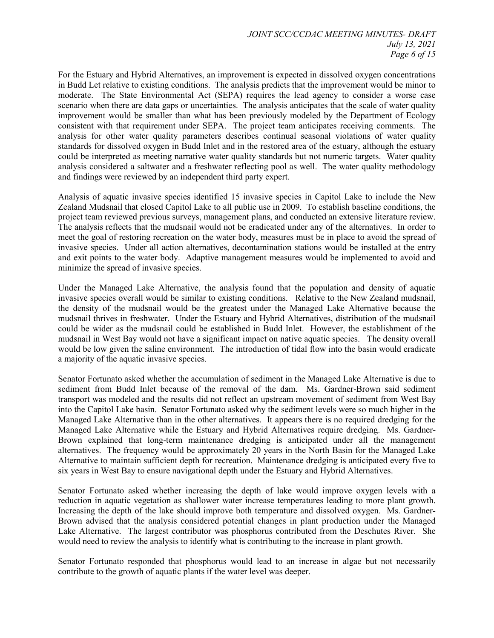For the Estuary and Hybrid Alternatives, an improvement is expected in dissolved oxygen concentrations in Budd Let relative to existing conditions. The analysis predicts that the improvement would be minor to moderate. The State Environmental Act (SEPA) requires the lead agency to consider a worse case scenario when there are data gaps or uncertainties. The analysis anticipates that the scale of water quality improvement would be smaller than what has been previously modeled by the Department of Ecology consistent with that requirement under SEPA. The project team anticipates receiving comments. The analysis for other water quality parameters describes continual seasonal violations of water quality standards for dissolved oxygen in Budd Inlet and in the restored area of the estuary, although the estuary could be interpreted as meeting narrative water quality standards but not numeric targets. Water quality analysis considered a saltwater and a freshwater reflecting pool as well. The water quality methodology and findings were reviewed by an independent third party expert.

Analysis of aquatic invasive species identified 15 invasive species in Capitol Lake to include the New Zealand Mudsnail that closed Capitol Lake to all public use in 2009. To establish baseline conditions, the project team reviewed previous surveys, management plans, and conducted an extensive literature review. The analysis reflects that the mudsnail would not be eradicated under any of the alternatives. In order to meet the goal of restoring recreation on the water body, measures must be in place to avoid the spread of invasive species. Under all action alternatives, decontamination stations would be installed at the entry and exit points to the water body. Adaptive management measures would be implemented to avoid and minimize the spread of invasive species.

Under the Managed Lake Alternative, the analysis found that the population and density of aquatic invasive species overall would be similar to existing conditions. Relative to the New Zealand mudsnail, the density of the mudsnail would be the greatest under the Managed Lake Alternative because the mudsnail thrives in freshwater. Under the Estuary and Hybrid Alternatives, distribution of the mudsnail could be wider as the mudsnail could be established in Budd Inlet. However, the establishment of the mudsnail in West Bay would not have a significant impact on native aquatic species. The density overall would be low given the saline environment. The introduction of tidal flow into the basin would eradicate a majority of the aquatic invasive species.

Senator Fortunato asked whether the accumulation of sediment in the Managed Lake Alternative is due to sediment from Budd Inlet because of the removal of the dam. Ms. Gardner-Brown said sediment transport was modeled and the results did not reflect an upstream movement of sediment from West Bay into the Capitol Lake basin. Senator Fortunato asked why the sediment levels were so much higher in the Managed Lake Alternative than in the other alternatives. It appears there is no required dredging for the Managed Lake Alternative while the Estuary and Hybrid Alternatives require dredging. Ms. Gardner-Brown explained that long-term maintenance dredging is anticipated under all the management alternatives. The frequency would be approximately 20 years in the North Basin for the Managed Lake Alternative to maintain sufficient depth for recreation. Maintenance dredging is anticipated every five to six years in West Bay to ensure navigational depth under the Estuary and Hybrid Alternatives. consistent with the requirement under SEPA. The project (see multiplane receiving anomalogic step that the proportional anomalogic for the reality anomalogis for other water quality parameters describes continual seasonal

Senator Fortunato asked whether increasing the depth of lake would improve oxygen levels with a reduction in aquatic vegetation as shallower water increase temperatures leading to more plant growth. Increasing the depth of the lake should improve both temperature and dissolved oxygen. Ms. Gardner-Brown advised that the analysis considered potential changes in plant production under the Managed Lake Alternative. The largest contributor was phosphorus contributed from the Deschutes River. She would need to review the analysis to identify what is contributing to the increase in plant growth.

Senator Fortunato responded that phosphorus would lead to an increase in algae but not necessarily contribute to the growth of aquatic plants if the water level was deeper.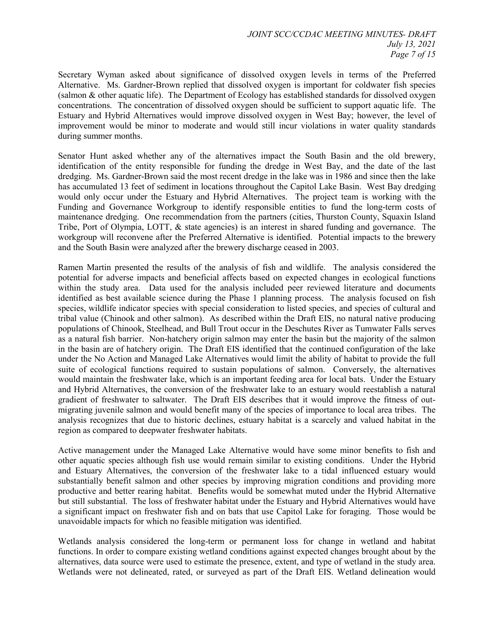Secretary Wyman asked about significance of dissolved oxygen levels in terms of the Preferred Alternative. Ms. Gardner-Brown replied that dissolved oxygen is important for coldwater fish species (salmon & other aquatic life). The Department of Ecology has established standards for dissolved oxygen concentrations. The concentration of dissolved oxygen should be sufficient to support aquatic life. The Estuary and Hybrid Alternatives would improve dissolved oxygen in West Bay; however, the level of improvement would be minor to moderate and would still incur violations in water quality standards during summer months.

Senator Hunt asked whether any of the alternatives impact the South Basin and the old brewery, identification of the entity responsible for funding the dredge in West Bay, and the date of the last dredging. Ms. Gardner-Brown said the most recent dredge in the lake was in 1986 and since then the lake has accumulated 13 feet of sediment in locations throughout the Capitol Lake Basin. West Bay dredging would only occur under the Estuary and Hybrid Alternatives. The project team is working with the Funding and Governance Workgroup to identify responsible entities to fund the long-term costs of maintenance dredging. One recommendation from the partners (cities, Thurston County, Squaxin Island Tribe, Port of Olympia, LOTT, & state agencies) is an interest in shared funding and governance. The workgroup will reconvene after the Preferred Alternative is identified. Potential impacts to the brewery and the South Basin were analyzed after the brewery discharge ceased in 2003.

Ramen Martin presented the results of the analysis of fish and wildlife. The analysis considered the potential for adverse impacts and beneficial affects based on expected changes in ecological functions within the study area. Data used for the analysis included peer reviewed literature and documents identified as best available science during the Phase 1 planning process. The analysis focused on fish species, wildlife indicator species with special consideration to listed species, and species of cultural and tribal value (Chinook and other salmon). As described within the Draft EIS, no natural native producing populations of Chinook, Steelhead, and Bull Trout occur in the Deschutes River as Tumwater Falls serves as a natural fish barrier. Non-hatchery origin salmon may enter the basin but the majority of the salmon in the basin are of hatchery origin. The Draft EIS identified that the continued configuration of the lake under the No Action and Managed Lake Alternatives would limit the ability of habitat to provide the full suite of ecological functions required to sustain populations of salmon. Conversely, the alternatives would maintain the freshwater lake, which is an important feeding area for local bats. Under the Estuary and Hybrid Alternatives, the conversion of the freshwater lake to an estuary would reestablish a natural gradient of freshwater to saltwater. The Draft EIS describes that it would improve the fitness of outmigrating juvenile salmon and would benefit many of the species of importance to local area tribes. The analysis recognizes that due to historic declines, estuary habitat is a scarcely and valued habitat in the region as compared to deepwater freshwater habitats. improvement would be minre to moderate and would still neur violations in ware quality standards<br>during summer constraint to moderate and would still neur violations in ware quality standards<br>during ammor reduction of the

Active management under the Managed Lake Alternative would have some minor benefits to fish and other aquatic species although fish use would remain similar to existing conditions. Under the Hybrid and Estuary Alternatives, the conversion of the freshwater lake to a tidal influenced estuary would substantially benefit salmon and other species by improving migration conditions and providing more productive and better rearing habitat. Benefits would be somewhat muted under the Hybrid Alternative but still substantial. The loss of freshwater habitat under the Estuary and Hybrid Alternatives would have a significant impact on freshwater fish and on bats that use Capitol Lake for foraging. Those would be unavoidable impacts for which no feasible mitigation was identified.

Wetlands analysis considered the long-term or permanent loss for change in wetland and habitat functions. In order to compare existing wetland conditions against expected changes brought about by the alternatives, data source were used to estimate the presence, extent, and type of wetland in the study area. Wetlands were not delineated, rated, or surveyed as part of the Draft EIS. Wetland delineation would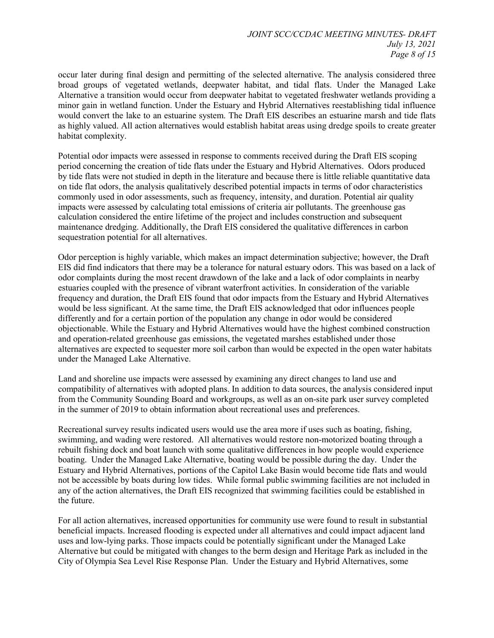occur later during final design and permitting of the selected alternative. The analysis considered three broad groups of vegetated wetlands, deepwater habitat, and tidal flats. Under the Managed Lake Alternative a transition would occur from deepwater habitat to vegetated freshwater wetlands providing a minor gain in wetland function. Under the Estuary and Hybrid Alternatives reestablishing tidal influence would convert the lake to an estuarine system. The Draft EIS describes an estuarine marsh and tide flats as highly valued. All action alternatives would establish habitat areas using dredge spoils to create greater habitat complexity.

Potential odor impacts were assessed in response to comments received during the Draft EIS scoping period concerning the creation of tide flats under the Estuary and Hybrid Alternatives. Odors produced by tide flats were not studied in depth in the literature and because there is little reliable quantitative data on tide flat odors, the analysis qualitatively described potential impacts in terms of odor characteristics commonly used in odor assessments, such as frequency, intensity, and duration. Potential air quality impacts were assessed by calculating total emissions of criteria air pollutants. The greenhouse gas calculation considered the entire lifetime of the project and includes construction and subsequent maintenance dredging. Additionally, the Draft EIS considered the qualitative differences in carbon sequestration potential for all alternatives.

Odor perception is highly variable, which makes an impact determination subjective; however, the Draft EIS did find indicators that there may be a tolerance for natural estuary odors. This was based on a lack of odor complaints during the most recent drawdown of the lake and a lack of odor complaints in nearby estuaries coupled with the presence of vibrant waterfront activities. In consideration of the variable frequency and duration, the Draft EIS found that odor impacts from the Estuary and Hybrid Alternatives would be less significant. At the same time, the Draft EIS acknowledged that odor influences people differently and for a certain portion of the population any change in odor would be considered objectionable. While the Estuary and Hybrid Alternatives would have the highest combined construction and operation-related greenhouse gas emissions, the vegetated marshes established under those alternatives are expected to sequester more soil carbon than would be expected in the open water habitats under the Managed Lake Alternative. as highly valued. All action alternatives would establish habita areas is ing decide on the case with the standard and the standard base in the standard base and the standard base in the standard base in the standard base

Land and shoreline use impacts were assessed by examining any direct changes to land use and compatibility of alternatives with adopted plans. In addition to data sources, the analysis considered input from the Community Sounding Board and workgroups, as well as an on-site park user survey completed in the summer of 2019 to obtain information about recreational uses and preferences.

Recreational survey results indicated users would use the area more if uses such as boating, fishing, swimming, and wading were restored. All alternatives would restore non-motorized boating through a rebuilt fishing dock and boat launch with some qualitative differences in how people would experience boating. Under the Managed Lake Alternative, boating would be possible during the day. Under the Estuary and Hybrid Alternatives, portions of the Capitol Lake Basin would become tide flats and would not be accessible by boats during low tides. While formal public swimming facilities are not included in any of the action alternatives, the Draft EIS recognized that swimming facilities could be established in the future.

For all action alternatives, increased opportunities for community use were found to result in substantial beneficial impacts. Increased flooding is expected under all alternatives and could impact adjacent land uses and low-lying parks. Those impacts could be potentially significant under the Managed Lake Alternative but could be mitigated with changes to the berm design and Heritage Park as included in the City of Olympia Sea Level Rise Response Plan. Under the Estuary and Hybrid Alternatives, some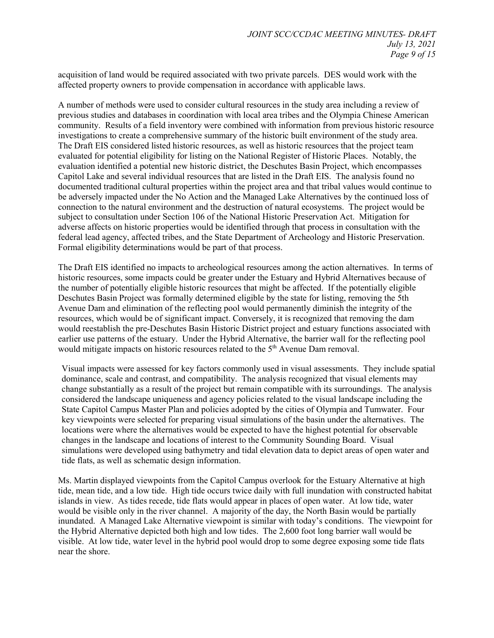acquisition of land would be required associated with two private parcels. DES would work with the affected property owners to provide compensation in accordance with applicable laws.

A number of methods were used to consider cultural resources in the study area including a review of previous studies and databases in coordination with local area tribes and the Olympia Chinese American community. Results of a field inventory were combined with information from previous historic resource investigations to create a comprehensive summary of the historic built environment of the study area. The Draft EIS considered listed historic resources, as well as historic resources that the project team evaluated for potential eligibility for listing on the National Register of Historic Places. Notably, the evaluation identified a potential new historic district, the Deschutes Basin Project, which encompasses Capitol Lake and several individual resources that are listed in the Draft EIS. The analysis found no documented traditional cultural properties within the project area and that tribal values would continue to be adversely impacted under the No Action and the Managed Lake Alternatives by the continued loss of connection to the natural environment and the destruction of natural ecosystems. The project would be subject to consultation under Section 106 of the National Historic Preservation Act. Mitigation for adverse affects on historic properties would be identified through that process in consultation with the federal lead agency, affected tribes, and the State Department of Archeology and Historic Preservation. Formal eligibility determinations would be part of that process. community. Results of a field investing were conneired with information from previous linear<br>investigations to create a comprehensive summary of the historic built environment of the study area.<br>The Dard EIS considered li

The Draft EIS identified no impacts to archeological resources among the action alternatives. In terms of historic resources, some impacts could be greater under the Estuary and Hybrid Alternatives because of the number of potentially eligible historic resources that might be affected. If the potentially eligible Deschutes Basin Project was formally determined eligible by the state for listing, removing the 5th Avenue Dam and elimination of the reflecting pool would permanently diminish the integrity of the resources, which would be of significant impact. Conversely, it is recognized that removing the dam would reestablish the pre-Deschutes Basin Historic District project and estuary functions associated with earlier use patterns of the estuary. Under the Hybrid Alternative, the barrier wall for the reflecting pool would mitigate impacts on historic resources related to the 5<sup>th</sup> Avenue Dam removal.

Visual impacts were assessed for key factors commonly used in visual assessments. They include spatial dominance, scale and contrast, and compatibility. The analysis recognized that visual elements may change substantially as a result of the project but remain compatible with its surroundings. The analysis considered the landscape uniqueness and agency policies related to the visual landscape including the State Capitol Campus Master Plan and policies adopted by the cities of Olympia and Tumwater. Four key viewpoints were selected for preparing visual simulations of the basin under the alternatives. The locations were where the alternatives would be expected to have the highest potential for observable changes in the landscape and locations of interest to the Community Sounding Board. Visual simulations were developed using bathymetry and tidal elevation data to depict areas of open water and tide flats, as well as schematic design information.

Ms. Martin displayed viewpoints from the Capitol Campus overlook for the Estuary Alternative at high tide, mean tide, and a low tide. High tide occurs twice daily with full inundation with constructed habitat islands in view. As tides recede, tide flats would appear in places of open water. At low tide, water would be visible only in the river channel. A majority of the day, the North Basin would be partially inundated. A Managed Lake Alternative viewpoint is similar with today's conditions. The viewpoint for the Hybrid Alternative depicted both high and low tides. The 2,600 foot long barrier wall would be visible. At low tide, water level in the hybrid pool would drop to some degree exposing some tide flats near the shore.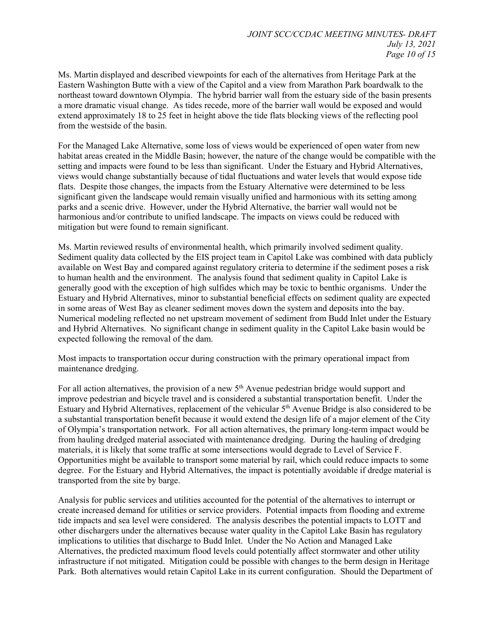Ms. Martin displayed and described viewpoints for each of the alternatives from Heritage Park at the Eastern Washington Butte with a view of the Capitol and a view from Marathon Park boardwalk to the northeast toward downtown Olympia. The hybrid barrier wall from the estuary side of the basin presents a more dramatic visual change. As tides recede, more of the barrier wall would be exposed and would extend approximately 18 to 25 feet in height above the tide flats blocking views of the reflecting pool from the westside of the basin.

For the Managed Lake Alternative, some loss of views would be experienced of open water from new habitat areas created in the Middle Basin; however, the nature of the change would be compatible with the setting and impacts were found to be less than significant. Under the Estuary and Hybrid Alternatives, views would change substantially because of tidal fluctuations and water levels that would expose tide flats. Despite those changes, the impacts from the Estuary Alternative were determined to be less significant given the landscape would remain visually unified and harmonious with its setting among parks and a scenic drive. However, under the Hybrid Alternative, the barrier wall would not be harmonious and/or contribute to unified landscape. The impacts on views could be reduced with mitigation but were found to remain significant.

Ms. Martin reviewed results of environmental health, which primarily involved sediment quality. Sediment quality data collected by the EIS project team in Capitol Lake was combined with data publicly available on West Bay and compared against regulatory criteria to determine if the sediment poses a risk to human health and the environment. The analysis found that sediment quality in Capitol Lake is generally good with the exception of high sulfides which may be toxic to benthic organisms. Under the Estuary and Hybrid Alternatives, minor to substantial beneficial effects on sediment quality are expected in some areas of West Bay as cleaner sediment moves down the system and deposits into the bay. Numerical modeling reflected no net upstream movement of sediment from Budd Inlet under the Estuary and Hybrid Alternatives. No significant change in sediment quality in the Capitol Lake basin would be expected following the removal of the dam. from the vestide of the basin.<br>
From the vestide of the basin.<br>
From the vestide of the basin, two weak would be experimented for the matter from the<br>
From the vestide of the basin, however, the nature of the change would

Most impacts to transportation occur during construction with the primary operational impact from maintenance dredging.

For all action alternatives, the provision of a new  $5<sup>th</sup>$  Avenue pedestrian bridge would support and improve pedestrian and bicycle travel and is considered a substantial transportation benefit. Under the Estuary and Hybrid Alternatives, replacement of the vehicular 5<sup>th</sup> Avenue Bridge is also considered to be a substantial transportation benefit because it would extend the design life of a major element of the City of Olympia's transportation network. For all action alternatives, the primary long-term impact would be from hauling dredged material associated with maintenance dredging. During the hauling of dredging materials, it is likely that some traffic at some intersections would degrade to Level of Service F. Opportunities might be available to transport some material by rail, which could reduce impacts to some degree. For the Estuary and Hybrid Alternatives, the impact is potentially avoidable if dredge material is transported from the site by barge.

Analysis for public services and utilities accounted for the potential of the alternatives to interrupt or create increased demand for utilities or service providers. Potential impacts from flooding and extreme tide impacts and sea level were considered. The analysis describes the potential impacts to LOTT and other dischargers under the alternatives because water quality in the Capitol Lake Basin has regulatory implications to utilities that discharge to Budd Inlet. Under the No Action and Managed Lake Alternatives, the predicted maximum flood levels could potentially affect stormwater and other utility infrastructure if not mitigated. Mitigation could be possible with changes to the berm design in Heritage Park. Both alternatives would retain Capitol Lake in its current configuration. Should the Department of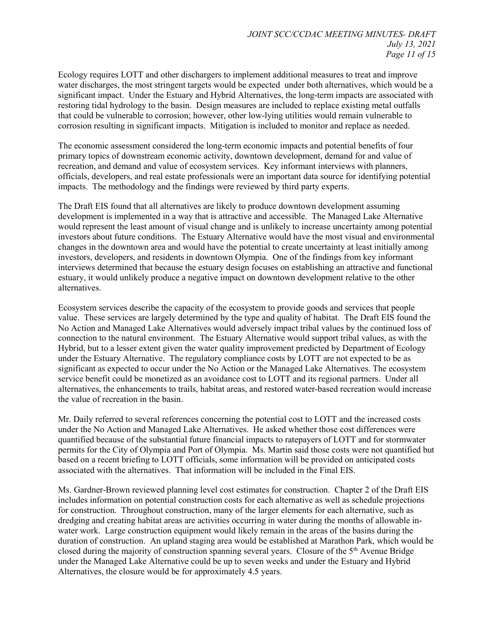Ecology requires LOTT and other dischargers to implement additional measures to treat and improve water discharges, the most stringent targets would be expected under both alternatives, which would be a significant impact. Under the Estuary and Hybrid Alternatives, the long-term impacts are associated with restoring tidal hydrology to the basin. Design measures are included to replace existing metal outfalls that could be vulnerable to corrosion; however, other low-lying utilities would remain vulnerable to corrosion resulting in significant impacts. Mitigation is included to monitor and replace as needed.

The economic assessment considered the long-term economic impacts and potential benefits of four primary topics of downstream economic activity, downtown development, demand for and value of recreation, and demand and value of ecosystem services. Key informant interviews with planners, officials, developers, and real estate professionals were an important data source for identifying potential impacts. The methodology and the findings were reviewed by third party experts.

The Draft EIS found that all alternatives are likely to produce downtown development assuming development is implemented in a way that is attractive and accessible. The Managed Lake Alternative would represent the least amount of visual change and is unlikely to increase uncertainty among potential investors about future conditions. The Estuary Alternative would have the most visual and environmental changes in the downtown area and would have the potential to create uncertainty at least initially among investors, developers, and residents in downtown Olympia. One of the findings from key informant interviews determined that because the estuary design focuses on establishing an attractive and functional estuary, it would unlikely produce a negative impact on downtown development relative to the other alternatives.

Ecosystem services describe the capacity of the ecosystem to provide goods and services that people value. These services are largely determined by the type and quality of habitat. The Draft EIS found the No Action and Managed Lake Alternatives would adversely impact tribal values by the continued loss of connection to the natural environment. The Estuary Alternative would support tribal values, as with the Hybrid, but to a lesser extent given the water quality improvement predicted by Department of Ecology under the Estuary Alternative. The regulatory compliance costs by LOTT are not expected to be as significant as expected to occur under the No Action or the Managed Lake Alternatives. The ecosystem service benefit could be monetized as an avoidance cost to LOTT and its regional partners. Under all alternatives, the enhancements to trails, habitat areas, and restored water-based recreation would increase the value of recreation in the basin. coronois resulting in significant impacts. Mitigation is included to monitor and replace as needed.<br>The economic assessment considered the long-term economic impacts and potential benefits of four<br>primary topics of downstr

Mr. Daily referred to several references concerning the potential cost to LOTT and the increased costs under the No Action and Managed Lake Alternatives. He asked whether those cost differences were quantified because of the substantial future financial impacts to ratepayers of LOTT and for stormwater permits for the City of Olympia and Port of Olympia. Ms. Martin said those costs were not quantified but based on a recent briefing to LOTT officials, some information will be provided on anticipated costs associated with the alternatives. That information will be included in the Final EIS.

Ms. Gardner-Brown reviewed planning level cost estimates for construction. Chapter 2 of the Draft EIS includes information on potential construction costs for each alternative as well as schedule projections for construction. Throughout construction, many of the larger elements for each alternative, such as dredging and creating habitat areas are activities occurring in water during the months of allowable inwater work. Large construction equipment would likely remain in the areas of the basins during the duration of construction. An upland staging area would be established at Marathon Park, which would be closed during the majority of construction spanning several years. Closure of the 5th Avenue Bridge under the Managed Lake Alternative could be up to seven weeks and under the Estuary and Hybrid Alternatives, the closure would be for approximately 4.5 years.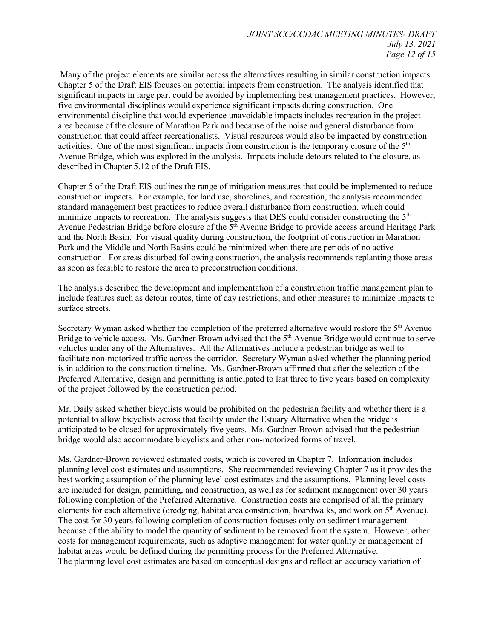Many of the project elements are similar across the alternatives resulting in similar construction impacts. Chapter 5 of the Draft EIS focuses on potential impacts from construction. The analysis identified that significant impacts in large part could be avoided by implementing best management practices. However, five environmental disciplines would experience significant impacts during construction. One environmental discipline that would experience unavoidable impacts includes recreation in the project area because of the closure of Marathon Park and because of the noise and general disturbance from construction that could affect recreationalists. Visual resources would also be impacted by construction activities. One of the most significant impacts from construction is the temporary closure of the 5<sup>th</sup> Avenue Bridge, which was explored in the analysis. Impacts include detours related to the closure, as described in Chapter 5.12 of the Draft EIS.

Chapter 5 of the Draft EIS outlines the range of mitigation measures that could be implemented to reduce construction impacts. For example, for land use, shorelines, and recreation, the analysis recommended standard management best practices to reduce overall disturbance from construction, which could minimize impacts to recreation. The analysis suggests that DES could consider constructing the 5<sup>th</sup> Avenue Pedestrian Bridge before closure of the  $5<sup>th</sup>$  Avenue Bridge to provide access around Heritage Park and the North Basin. For visual quality during construction, the footprint of construction in Marathon Park and the Middle and North Basins could be minimized when there are periods of no active construction. For areas disturbed following construction, the analysis recommends replanting those areas as soon as feasible to restore the area to preconstruction conditions. are because of the cleaner of Martha Park and because of the noise and general datterime from the construction that construction that construction that the construction that the construction of the park of the constructio

The analysis described the development and implementation of a construction traffic management plan to include features such as detour routes, time of day restrictions, and other measures to minimize impacts to surface streets.

Secretary Wyman asked whether the completion of the preferred alternative would restore the 5<sup>th</sup> Avenue Bridge to vehicle access. Ms. Gardner-Brown advised that the 5<sup>th</sup> Avenue Bridge would continue to serve vehicles under any of the Alternatives. All the Alternatives include a pedestrian bridge as well to facilitate non-motorized traffic across the corridor. Secretary Wyman asked whether the planning period is in addition to the construction timeline. Ms. Gardner-Brown affirmed that after the selection of the Preferred Alternative, design and permitting is anticipated to last three to five years based on complexity of the project followed by the construction period.

Mr. Daily asked whether bicyclists would be prohibited on the pedestrian facility and whether there is a potential to allow bicyclists across that facility under the Estuary Alternative when the bridge is anticipated to be closed for approximately five years. Ms. Gardner-Brown advised that the pedestrian bridge would also accommodate bicyclists and other non-motorized forms of travel.

Ms. Gardner-Brown reviewed estimated costs, which is covered in Chapter 7. Information includes planning level cost estimates and assumptions. She recommended reviewing Chapter 7 as it provides the best working assumption of the planning level cost estimates and the assumptions. Planning level costs are included for design, permitting, and construction, as well as for sediment management over 30 years following completion of the Preferred Alternative. Construction costs are comprised of all the primary elements for each alternative (dredging, habitat area construction, boardwalks, and work on 5<sup>th</sup> Avenue). The cost for 30 years following completion of construction focuses only on sediment management because of the ability to model the quantity of sediment to be removed from the system. However, other costs for management requirements, such as adaptive management for water quality or management of habitat areas would be defined during the permitting process for the Preferred Alternative. The planning level cost estimates are based on conceptual designs and reflect an accuracy variation of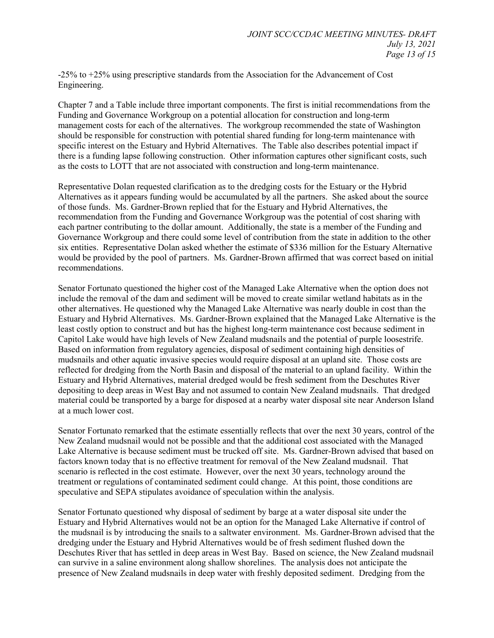-25% to +25% using prescriptive standards from the Association for the Advancement of Cost Engineering.

Chapter 7 and a Table include three important components. The first is initial recommendations from the Funding and Governance Workgroup on a potential allocation for construction and long-term management costs for each of the alternatives. The workgroup recommended the state of Washington should be responsible for construction with potential shared funding for long-term maintenance with specific interest on the Estuary and Hybrid Alternatives. The Table also describes potential impact if there is a funding lapse following construction. Other information captures other significant costs, such as the costs to LOTT that are not associated with construction and long-term maintenance.

Representative Dolan requested clarification as to the dredging costs for the Estuary or the Hybrid Alternatives as it appears funding would be accumulated by all the partners. She asked about the source of those funds. Ms. Gardner-Brown replied that for the Estuary and Hybrid Alternatives, the recommendation from the Funding and Governance Workgroup was the potential of cost sharing with each partner contributing to the dollar amount. Additionally, the state is a member of the Funding and Governance Workgroup and there could some level of contribution from the state in addition to the other six entities. Representative Dolan asked whether the estimate of \$336 million for the Estuary Alternative would be provided by the pool of partners. Ms. Gardner-Brown affirmed that was correct based on initial recommendations.

Senator Fortunato questioned the higher cost of the Managed Lake Alternative when the option does not include the removal of the dam and sediment will be moved to create similar wetland habitats as in the other alternatives. He questioned why the Managed Lake Alternative was nearly double in cost than the Estuary and Hybrid Alternatives. Ms. Gardner-Brown explained that the Managed Lake Alternative is the least costly option to construct and but has the highest long-term maintenance cost because sediment in Capitol Lake would have high levels of New Zealand mudsnails and the potential of purple loosestrife. Based on information from regulatory agencies, disposal of sediment containing high densities of mudsnails and other aquatic invasive species would require disposal at an upland site. Those costs are reflected for dredging from the North Basin and disposal of the material to an upland facility. Within the Estuary and Hybrid Alternatives, material dredged would be fresh sediment from the Deschutes River depositing to deep areas in West Bay and not assumed to contain New Zealand mudsnails. That dredged material could be transported by a barge for disposed at a nearby water disposal site near Anderson Island at a much lower cost. mannegenes tests for each of the alternatives. The workgrom recommended the state of Washington the product is respectively about the state of the state of the state of the state of the state of the state of the state of

Senator Fortunato remarked that the estimate essentially reflects that over the next 30 years, control of the New Zealand mudsnail would not be possible and that the additional cost associated with the Managed Lake Alternative is because sediment must be trucked off site. Ms. Gardner-Brown advised that based on factors known today that is no effective treatment for removal of the New Zealand mudsnail. That scenario is reflected in the cost estimate. However, over the next 30 years, technology around the treatment or regulations of contaminated sediment could change. At this point, those conditions are speculative and SEPA stipulates avoidance of speculation within the analysis.

Senator Fortunato questioned why disposal of sediment by barge at a water disposal site under the Estuary and Hybrid Alternatives would not be an option for the Managed Lake Alternative if control of the mudsnail is by introducing the snails to a saltwater environment. Ms. Gardner-Brown advised that the dredging under the Estuary and Hybrid Alternatives would be of fresh sediment flushed down the Deschutes River that has settled in deep areas in West Bay. Based on science, the New Zealand mudsnail can survive in a saline environment along shallow shorelines. The analysis does not anticipate the presence of New Zealand mudsnails in deep water with freshly deposited sediment. Dredging from the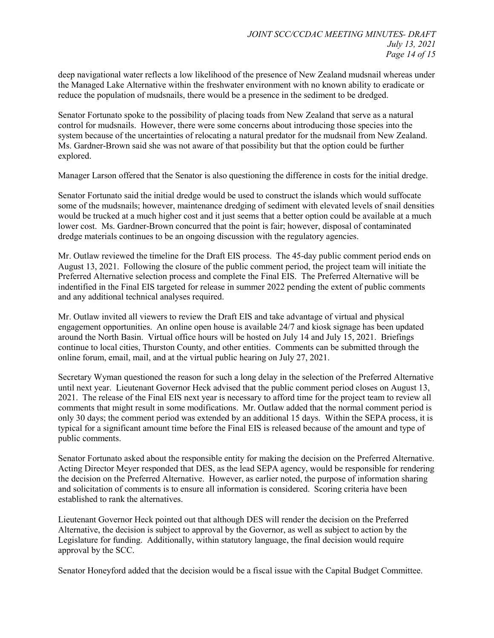deep navigational water reflects a low likelihood of the presence of New Zealand mudsnail whereas under the Managed Lake Alternative within the freshwater environment with no known ability to eradicate or reduce the population of mudsnails, there would be a presence in the sediment to be dredged.

Senator Fortunato spoke to the possibility of placing toads from New Zealand that serve as a natural control for mudsnails. However, there were some concerns about introducing those species into the system because of the uncertainties of relocating a natural predator for the mudsnail from New Zealand. Ms. Gardner-Brown said she was not aware of that possibility but that the option could be further explored.

Manager Larson offered that the Senator is also questioning the difference in costs for the initial dredge.

Senator Fortunato said the initial dredge would be used to construct the islands which would suffocate some of the mudsnails; however, maintenance dredging of sediment with elevated levels of snail densities would be trucked at a much higher cost and it just seems that a better option could be available at a much lower cost. Ms. Gardner-Brown concurred that the point is fair; however, disposal of contaminated dredge materials continues to be an ongoing discussion with the regulatory agencies.

Mr. Outlaw reviewed the timeline for the Draft EIS process. The 45-day public comment period ends on August 13, 2021. Following the closure of the public comment period, the project team will initiate the Preferred Alternative selection process and complete the Final EIS. The Preferred Alternative will be indentified in the Final EIS targeted for release in summer 2022 pending the extent of public comments and any additional technical analyses required.

Mr. Outlaw invited all viewers to review the Draft EIS and take advantage of virtual and physical engagement opportunities. An online open house is available 24/7 and kiosk signage has been updated around the North Basin. Virtual office hours will be hosted on July 14 and July 15, 2021. Briefings continue to local cities, Thurston County, and other entities. Comments can be submitted through the online forum, email, mail, and at the virtual public hearing on July 27, 2021.

Secretary Wyman questioned the reason for such a long delay in the selection of the Preferred Alternative until next year. Lieutenant Governor Heck advised that the public comment period closes on August 13, 2021. The release of the Final EIS next year is necessary to afford time for the project team to review all comments that might result in some modifications. Mr. Outlaw added that the normal comment period is only 30 days; the comment period was extended by an additional 15 days. Within the SEPA process, it is typical for a significant amount time before the Final EIS is released because of the amount and type of public comments. compare for multisantic. Throwers, there were some conversable that threducing those spaces in the theorem. System because of the unsertaints of redocting a natural predator for the numbinal from New Zealand.<br>Ms. Gurdner-

Senator Fortunato asked about the responsible entity for making the decision on the Preferred Alternative. Acting Director Meyer responded that DES, as the lead SEPA agency, would be responsible for rendering the decision on the Preferred Alternative. However, as earlier noted, the purpose of information sharing and solicitation of comments is to ensure all information is considered. Scoring criteria have been established to rank the alternatives.

Lieutenant Governor Heck pointed out that although DES will render the decision on the Preferred Alternative, the decision is subject to approval by the Governor, as well as subject to action by the Legislature for funding. Additionally, within statutory language, the final decision would require approval by the SCC.

Senator Honeyford added that the decision would be a fiscal issue with the Capital Budget Committee.